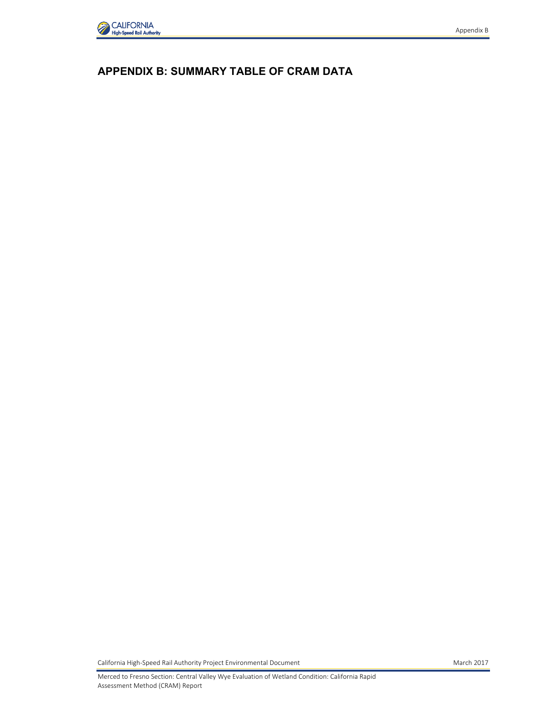

## **APPENDIX B: SUMMARY TABLE OF CRAM DATA**

California High-Speed Rail Authority Project Environmental Document March 2017